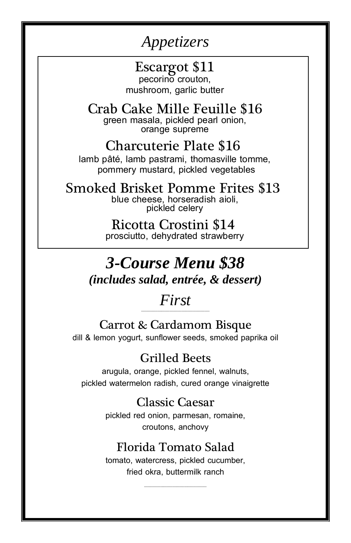# *Appetizers*

# Escargot \$11

pecorino crouton, mushroom, garlic butter

#### Crab Cake Mille Feuille \$16 green masala, pickled pearl onion, orange supreme

# Charcuterie Plate \$16

lamb pâté, lamb pastrami, thomasville tomme, pommery mustard, pickled vegetables

Smoked Brisket Pomme Frites \$13 blue cheese, horseradish aioli, pickled celery

> Ricotta Crostini \$14 prosciutto, dehydrated strawberry

# *3-Course Menu \$38 (includes salad, entrée, & dessert)*

#### *First ----------------------------------------------------------*

## Carrot & Cardamom Bisque

dill & lemon yogurt, sunflower seeds, smoked paprika oil

## Grilled Beets

arugula, orange, pickled fennel, walnuts, 2pickled watermelon radish, cured orange vinaigrette

## Classic Caesar

pickled red onion, parmesan, romaine, croutons, anchovy

## Florida Tomato Salad

tomato, watercress, pickled cucumber, fried okra, buttermilk ranch

*-----------------------------------------------------*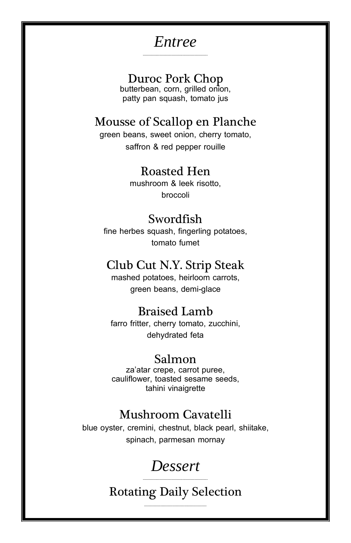## Entree

### Duroc Pork Chop

butterbean, corn, grilled onton, patty pan squash, tomato jus

### Mousse of Scallop en Planche

green beans, sweet onion, cherry tomato, saffron & red pepper rouille

### **Roasted Hen**

mushroom & leek risotto, broccoli

### Swordfish

fine herbes squash, fingerling potatoes, tomato fumet

### Club Cut N.Y. Strip Steak

mashed potatoes, heirloom carrots. green beans, demi-glace

### **Braised Lamb**

farro fritter, cherry tomato, zucchini, dehydrated feta

#### Salmon

za'atar crepe, carrot puree, cauliflower, toasted sesame seeds, tahini vinaigrette

### **Mushroom Cavatelli**

blue oyster, cremini, chestnut, black pearl, shiitake, spinach, parmesan mornay

# **Dessert**

**Rotating Daily Selection**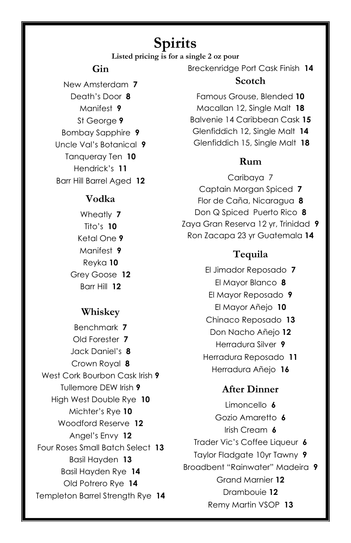## **Spirits**

**Listed pricing is for a single 2 oz pour**

#### **Gin**

New Amsterdam **7** Death's Door **8** Manifest **9** St George **9** Bombay Sapphire **9** Uncle Val's Botanical **9** Tanqueray Ten **10** Hendrick's **11** Barr Hill Barrel Aged **12**

#### **Vodka**

Wheatly **7** Tito's **10** Ketal One **9** Manifest **9** Reyka **10** Grey Goose **12** Barr Hill **12**

#### **Whiskey**

Benchmark **7** Old Forester **7** Jack Daniel's **8** Crown Royal **8** West Cork Bourbon Cask Irish **9** Tullemore DEW Irish **9** High West Double Rye **10** Michter's Rye **10** Woodford Reserve **12** Angel's Envy **12** Four Roses Small Batch Select **13** Basil Hayden **13** Basil Hayden Rye **14** Old Potrero Rye **14** Templeton Barrel Strength Rye **14** Breckenridge Port Cask Finish **14**

#### **Scotch**

Famous Grouse, Blended **10** Macallan 12, Single Malt **18** Balvenie 14 Caribbean Cask **15** Glenfiddich 12, Single Malt **14** Glenfiddich 15, Single Malt **18**

#### **Rum**

Caribaya 7 Captain Morgan Spiced **7** Flor de Caña, Nicaragua **8** Don Q Spiced Puerto Rico **8** Zaya Gran Reserva 12 yr, Trinidad **9** Ron Zacapa 23 yr Guatemala **14**

#### **Tequila**

El Jimador Reposado **7** El Mayor Blanco **8** El Mayor Reposado **9**  El Mayor Añejo **10** Chinaco Reposado **13** Don Nacho Añejo **12** Herradura Silver **9** Herradura Reposado **11** Herradura Añejo **16**

#### **After Dinner**

Limoncello **6** Gozio Amaretto **6** Irish Cream **6** Trader Vic's Coffee Liqueur **6** Taylor Fladgate 10yr Tawny **9** Broadbent "Rainwater" Madeira **9** Grand Marnier **12** Drambouie **12** Remy Martin VSOP **13**